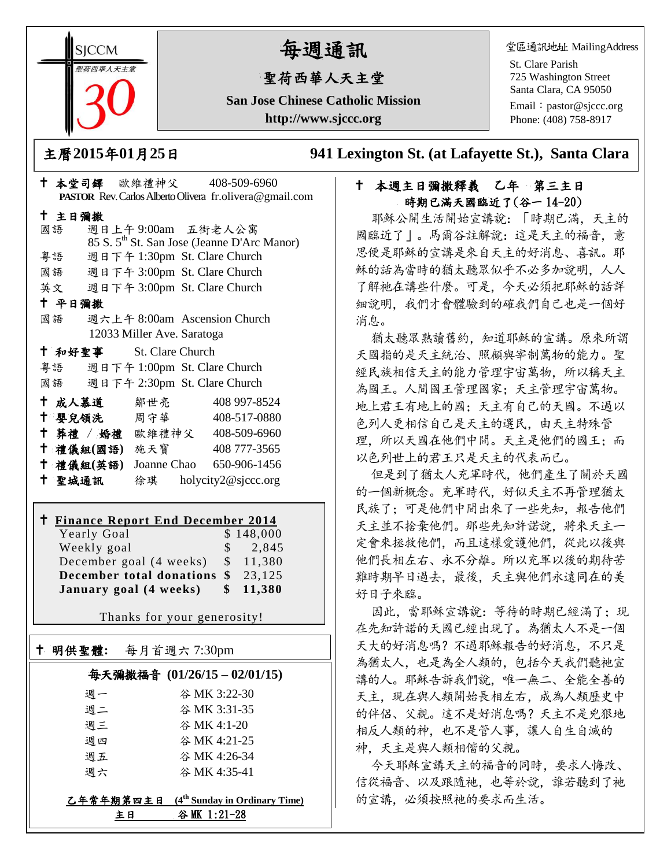**SICCM** 智荷西華人天主堂

# 每週通訊

# 聖荷西華人天主堂

**San Jose Chinese Catholic Mission http://www.sjccc.org**

堂區通訊地址 MailingAddress

St. Clare Parish 725 Washington Street Santa Clara, CA 95050

Email: [pastor@sjccc.org](mailto:pastor@sjccc.org) Phone: (408) 758-8917

主曆**2015**年**01**月**25**日 **941 Lexington St. (at Lafayette St.), Santa Clara** 

## **PASTOR** Rev. Carlos Alberto Olivera fr.olivera@gmail.com 主日彌撒 國語 週日上午 9:00am 五街老人公寓 85 S. 5th St. San Jose (Jeanne D'Arc Manor) 粵語 週日下午 1:30pm St. Clare Church 國語 週日下午 3:00pm St. Clare Church 英文 週日下午 3:00pm St. Clare Church 平日彌撒 國語 週六上午 8:00am Ascension Church 12033 Miller Ave. Saratoga 和好聖事 St. Clare Church 粵語 週日下午 1:00pm St. Clare Church 國語 週日下午 2:30pm St. Clare Church 十成人慕道 鄒世亮 408 997-8524 嬰兒領洗 周守華 408-517-0880 葬禮 / 婚禮 歐維禮神父 408-509-6960 禮儀組**(**國語**)** 施天寶 408 777-3565 禮儀組**(**英語**)** Joanne Chao 650-906-1456

本堂司鐸 歐維禮神父 408-509-6960

# **Finance Report End December 2014**

明供聖體**:** 每月首週六 7:30pm

Ξ

聖城通訊 徐琪 holycity2@sjccc.org

| Yearly Goal                               |               | \$148,000 |
|-------------------------------------------|---------------|-----------|
| Weekly goal                               | $\mathcal{S}$ | 2,845     |
| December goal (4 weeks) \$                |               | 11,380    |
| <b>December total donations \$</b> 23,125 |               |           |
| January goal (4 weeks)                    | \$            | 11,380    |

Thanks for your generosity!

# 每天彌撒福音 **(01/26/15 – 02/01/15)**

| 主日 | 谷 MK 1:21-28                              |
|----|-------------------------------------------|
|    | 乙年常年期第四主日 $(4th$ Sunday in Ordinary Time) |
| 週六 | 谷 MK 4:35-41                              |
| 週五 | 谷 MK 4:26-34                              |
| 週四 | 谷 MK 4:21-25                              |
| 週三 | 谷 MK 4:1-20                               |
| 週二 | 谷 MK 3:31-35                              |
| 週一 | 谷 MK 3:22-30                              |

# 十 本週主日彌撒釋義 乙年 第三主日 時期已滿天國臨近了(谷一 14-20)

耶穌公開生活開始宣講說:「時期已滿,天主的 國臨近了」。馬爾谷註解說:這是天主的福音,意 思便是耶穌的宣講是來自天主的好消息、喜訊。耶 穌的話為當時的猶太聽眾似乎不必多加說明,人人 了解祂在講些什麼。可是,今天必須把耶穌的話詳 細說明,我們才會體驗到的確我們自己也是一個好 消息。

猶太聽眾熟讀舊約,知道耶穌的宣講。原來所謂 天國指的是天主統治、照顧與宰制萬物的能力。聖 經民族相信天主的能力管理宇宙萬物,所以稱天主 為國王。人間國王管理國家;天主管理宇宙萬物。 地上君王有地上的國;天主有自己的天國。不過以 色列人更相信自己是天主的選民,由天主特殊管 理,所以天國在他們中間。天主是他們的國王;而 以色列世上的君王只是天主的代表而已。

但是到了猶太人充軍時代,他們產生了關於天國 的一個新概念。充軍時代,好似天主不再管理猶太 民族了;可是他們中間出來了一些先知,報告他們 天主並不捨棄他們。那些先知許諾說,將來天主一 定會來拯救他們,而且這樣愛護他們,從此以後與 他們長相左右、永不分離。所以充軍以後的期待苦 難時期早日過去,最後,天主與他們永遠同在的美 好日子來臨。

因此, 當耶穌宣講說: 等待的時期已經滿了: 現 在先知許諾的天國已經出現了。為猶太人不是一個 天大的好消息嗎?不過耶穌報告的好消息,不只是 為猶太人,也是為全人類的,包括今天我們聽祂宣 講的人。耶穌告訴我們說,唯一無二、全能全善的 天主, 現在與人類開始長相左右, 成為人類歷史中 的伴侶、父親。這不是好消息嗎?天主不是兇狠地 相反人類的神,也不是管人事,讓人自生自滅的 神,天主是與人類相偕的父親。

今天耶穌宣講天主的福音的同時,要求人悔改、 信從福音、以及跟隨祂,也等於說,誰若聽到了祂 的宣講,必須按照祂的要求而生活。